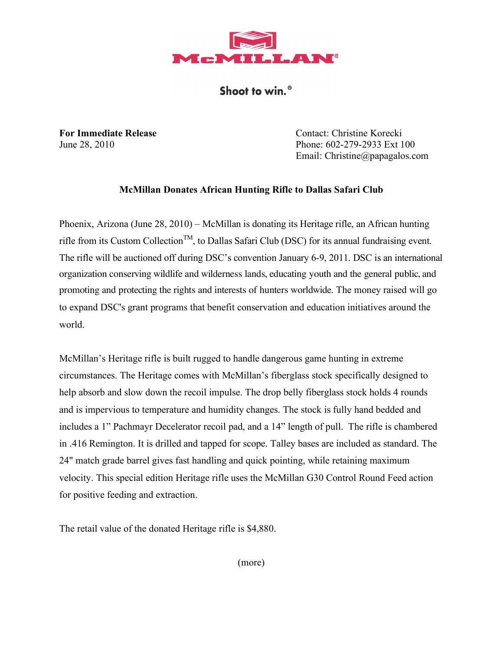

Shoot to win.<sup>®</sup>

**For Immediate Release** Contact: Christine Korecki June 28, 2010 Phone: 602-279-2933 Ext 100 Email: Christine@papagalos.com

## **McMillan Donates African Hunting Rifle to Dallas Safari Club**

Phoenix, Arizona (June 28, 2010) – McMillan is donating its Heritage rifle, an African hunting rifle from its Custom Collection<sup>TM</sup>, to Dallas Safari Club (DSC) for its annual fundraising event. The rifle will be auctioned off during DSC's convention January 6-9, 2011. DSC is an international organization conserving wildlife and wilderness lands, educating youth and the general public, and promoting and protecting the rights and interests of hunters worldwide. The money raised will go to expand DSC's grant programs that benefit conservation and education initiatives around the world.

McMillan's Heritage rifle is built rugged to handle dangerous game hunting in extreme circumstances. The Heritage comes with McMillan's fiberglass stock specifically designed to help absorb and slow down the recoil impulse. The drop belly fiberglass stock holds 4 rounds and is impervious to temperature and humidity changes. The stock is fully hand bedded and includes a 1" Pachmayr Decelerator recoil pad, and a 14" length of pull. The rifle is chambered in .416 Remington. It is drilled and tapped for scope. Talley bases are included as standard. The 24" match grade barrel gives fast handling and quick pointing, while retaining maximum velocity. This special edition Heritage rifle uses the McMillan G30 Control Round Feed action for positive feeding and extraction.

The retail value of the donated Heritage rifle is \$4,880.

(more)